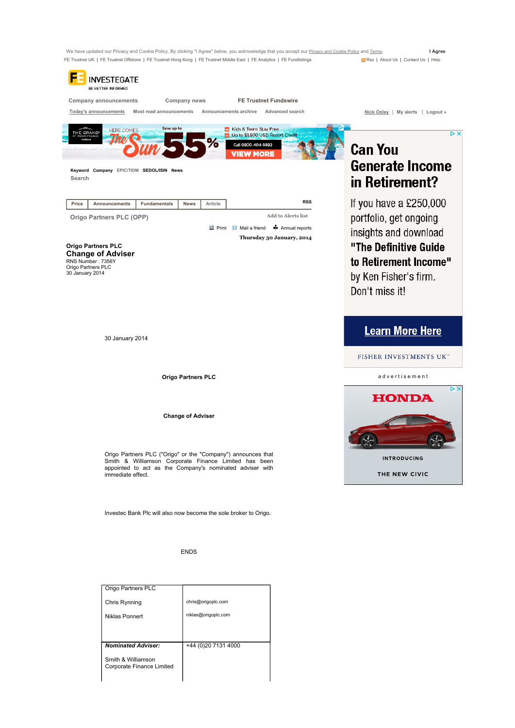We have updated our Privacy and Cookie Policy. By clicking "I Agree" below, you acknowledge that you accept our <u>Privacy and Cookie Policy</u> and <u>Terms</u>. I Agree<br>FE Trustnet UK | FE Trustnet Offshore | FE Trustnet Hong Kong FE Trustnet UK | FE Trustnet Offshore | FE Trustnet Hong Kong | FE Trustnet Middle East | FE Analytics | FE Fundlistings

| BE BETTER INFORMED                                                                                                                                                                                                                                       |                                                                                                                                              |  |
|----------------------------------------------------------------------------------------------------------------------------------------------------------------------------------------------------------------------------------------------------------|----------------------------------------------------------------------------------------------------------------------------------------------|--|
| <b>FE Trustnet Fundswire</b><br>Company announcements<br>Company news                                                                                                                                                                                    |                                                                                                                                              |  |
| Most read announcements<br>Advanced search<br>Today's announcements<br>Announcements archive                                                                                                                                                             | Nick Oxley   My alerts   Logout »                                                                                                            |  |
| Save up to<br>Kids & Teens Stay Free<br><b>HERE COMES</b><br><b>THE GRAND</b><br>Up to \$1,500 USD Resort Credit<br>℅<br>Call 0800-404-9882<br>VIEW MORE<br>Keyword Company EPIC/TIDM SEDOL/ISIN News<br>Search                                          | $\triangleright$ X<br><b>Can You</b><br><b>Generate Income</b><br>in Retirement?                                                             |  |
| <b>RSS</b><br>Price<br><b>Announcements</b><br><b>Fundamentals</b><br><b>News</b><br>Article                                                                                                                                                             | If you have a $£250,000$                                                                                                                     |  |
| Add to Alerts list<br>Origo Partners PLC (OPP)<br><b>B</b> Mail a friend <sup>*</sup> Annual reports<br>Thursday 30 January, 2014<br><b>Origo Partners PLC</b><br><b>Change of Adviser</b><br>RNS Number: 7356Y<br>Origo Partners PLC<br>30 January 2014 | portfolio, get ongoing<br>insights and download<br>"The Definitive Guide<br>to Retirement Income"<br>by Ken Fisher's firm.<br>Don't miss it! |  |
| 30 January 2014                                                                                                                                                                                                                                          | <b>Learn More Here</b><br>FISHER INVESTMENTS UK"                                                                                             |  |
| <b>Origo Partners PLC</b>                                                                                                                                                                                                                                | advertisement                                                                                                                                |  |
| <b>Change of Adviser</b><br>Origo Partners PLC ("Origo" or the "Company") announces that<br>Smith & Williamson Corporate Finance Limited has been<br>appointed to act as the Company's nominated adviser with<br>immediate effect.                       | DΧ<br><b>HONDA</b><br><b>INTRODUCING</b><br>THE NEW CIVIC                                                                                    |  |
| Investec Bank Plc will also now become the sole broker to Origo.                                                                                                                                                                                         |                                                                                                                                              |  |
| <b>ENDS</b>                                                                                                                                                                                                                                              |                                                                                                                                              |  |

| Origo Partners PLC        |                      |
|---------------------------|----------------------|
| Chris Rynning             | chris@origoplc.com   |
| Niklas Ponnert            | niklas@origoplc.com  |
|                           |                      |
| <b>Nominated Adviser:</b> |                      |
|                           | +44 (0) 20 7131 4000 |
| Smith & Williamson        |                      |
| Corporate Finance Limited |                      |
|                           |                      |